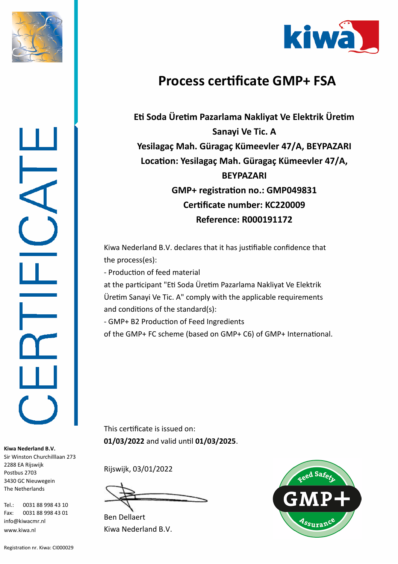



## **Process certificate GMP+ FSA**

**Et Soda Üretm Pazarlama Nakliyat Ve Elektrik Üretm Sanayi Ve Tic. A Yesilagaç Mah. Güragaç Kümeevler 47/A, BEYPAZARI Locaton: Yesilagaç Mah. Güragaç Kümeevler 47/A, BEYPAZARI GMP+ registraton no.: GMP049831 Certificate number: KC220009 Reference: R000191172**

Kiwa Nederland B.V. declares that it has justfable confdence that the process(es):

- Production of feed material

at the participant "Eti Soda Üretim Pazarlama Nakliyat Ve Elektrik Üretim Sanayi Ve Tic. A" comply with the applicable requirements and conditions of the standard(s):

- GMP+ B2 Production of Feed Ingredients

of the GMP+ FC scheme (based on GMP+ C6) of GMP+ Internatonal.

This certificate is issued on: **01/03/2022** and valid untl **01/03/2025**.

Rijswijk, 03/01/2022

Kiwa Nederland B.V. Ben Dellaert



Tel.: 0031 88 998 43 10 Fax: 0031 88 998 43 01

**Kiwa Nederland B.V.** Sir Winston Churchilllaan 273

2288 EA Rijswijk Postbus 2703 3430 GC Nieuwegein The Netherlands

info@kiwacmr.nl www.kiwa.nl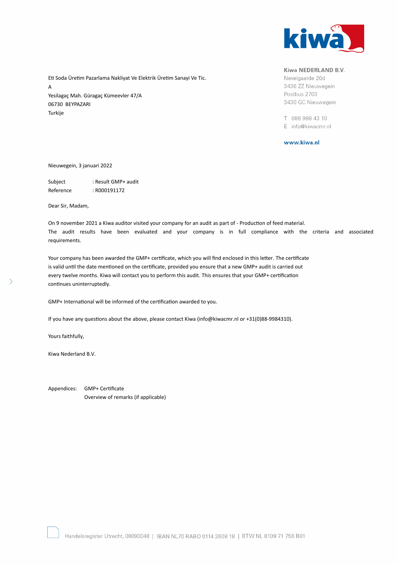

## Kiwa NEDERLAND B.V.

Nevelgaarde 20d 3436 ZZ Nieuwegein Postbus 2703 3430 GC Nieuwegein

T 088 998 43 10 E info@kiwacmr.nl

www.kiwa.nl

Et Soda Üretm Pazarlama Nakliyat Ve Elektrik Üretm Sanayi Ve Tic. A Yesilagaç Mah. Güragaç Kümeevler 47/A 06730 BEYPAZARI Turkije

Nieuwegein, 3 januari 2022

Subject : Result GMP+ audit Reference : R000191172

Dear Sir, Madam,

On 9 november 2021 a Kiwa auditor visited your company for an audit as part of - Producton of feed material. The audit results have been evaluated and your company is in full compliance with the criteria and associated requirements.

Your company has been awarded the GMP+ certificate, which you will find enclosed in this letter. The certificate is valid until the date mentioned on the certificate, provided you ensure that a new GMP+ audit is carried out every twelve months. Kiwa will contact you to perform this audit. This ensures that your GMP+ certification continues uninterruptedly.

GMP+ International will be informed of the certification awarded to you.

If you have any questions about the above, please contact Kiwa (info@kiwacmr.nl or +31(0)88-9984310).

Yours faithfully,

 $\left\langle \right\rangle$ 

Kiwa Nederland B.V.

Appendices: GMP+ Certificate Overview of remarks (if applicable)